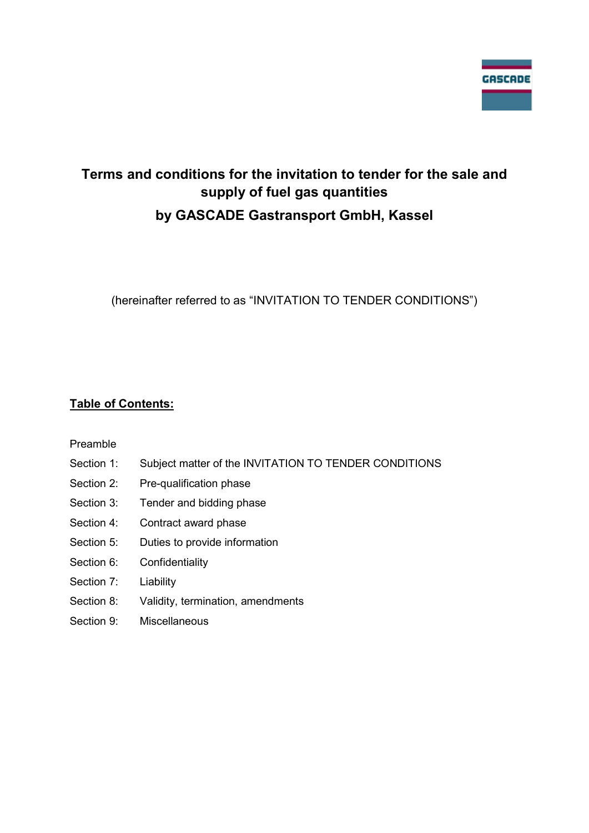

# Terms and conditions for the invitation to tender for the sale and supply of fuel gas quantities by GASCADE Gastransport GmbH, Kassel

(hereinafter referred to as "INVITATION TO TENDER CONDITIONS")

## Table of Contents:

Preamble

- Section 1: Subject matter of the INVITATION TO TENDER CONDITIONS
- Section 2: Pre-qualification phase
- Section 3: Tender and bidding phase
- Section 4: Contract award phase
- Section 5: Duties to provide information
- Section 6: Confidentiality
- Section 7: Liability
- Section 8: Validity, termination, amendments
- Section 9: Miscellaneous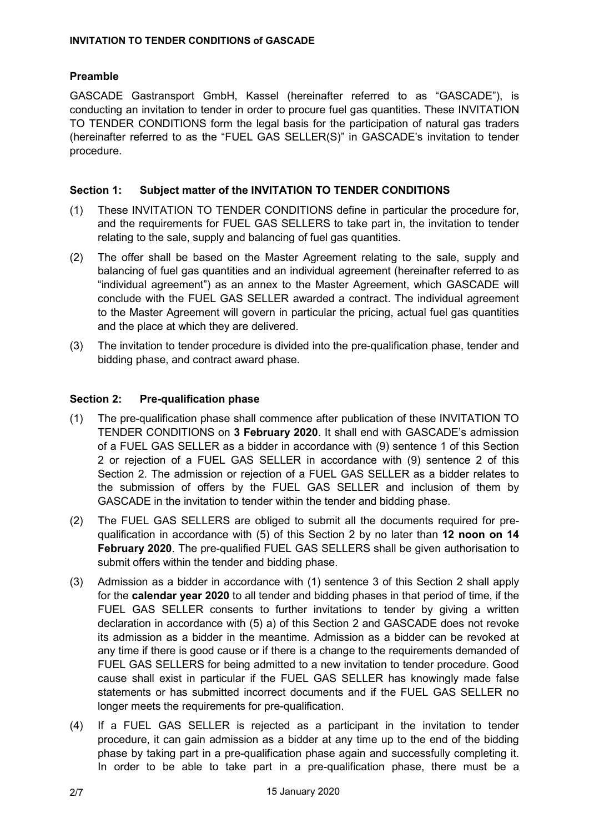## Preamble

GASCADE Gastransport GmbH, Kassel (hereinafter referred to as "GASCADE"), is conducting an invitation to tender in order to procure fuel gas quantities. These INVITATION TO TENDER CONDITIONS form the legal basis for the participation of natural gas traders (hereinafter referred to as the "FUEL GAS SELLER(S)" in GASCADE's invitation to tender procedure.

## Section 1: Subject matter of the INVITATION TO TENDER CONDITIONS

- (1) These INVITATION TO TENDER CONDITIONS define in particular the procedure for, and the requirements for FUEL GAS SELLERS to take part in, the invitation to tender relating to the sale, supply and balancing of fuel gas quantities.
- (2) The offer shall be based on the Master Agreement relating to the sale, supply and balancing of fuel gas quantities and an individual agreement (hereinafter referred to as "individual agreement") as an annex to the Master Agreement, which GASCADE will conclude with the FUEL GAS SELLER awarded a contract. The individual agreement to the Master Agreement will govern in particular the pricing, actual fuel gas quantities and the place at which they are delivered.
- (3) The invitation to tender procedure is divided into the pre-qualification phase, tender and bidding phase, and contract award phase.

## Section 2: Pre-qualification phase

- (1) The pre-qualification phase shall commence after publication of these INVITATION TO TENDER CONDITIONS on 3 February 2020. It shall end with GASCADE's admission of a FUEL GAS SELLER as a bidder in accordance with (9) sentence 1 of this Section 2 or rejection of a FUEL GAS SELLER in accordance with (9) sentence 2 of this Section 2. The admission or rejection of a FUEL GAS SELLER as a bidder relates to the submission of offers by the FUEL GAS SELLER and inclusion of them by GASCADE in the invitation to tender within the tender and bidding phase.
- (2) The FUEL GAS SELLERS are obliged to submit all the documents required for prequalification in accordance with (5) of this Section 2 by no later than 12 noon on 14 February 2020. The pre-qualified FUEL GAS SELLERS shall be given authorisation to submit offers within the tender and bidding phase.
- (3) Admission as a bidder in accordance with (1) sentence 3 of this Section 2 shall apply for the calendar year 2020 to all tender and bidding phases in that period of time, if the FUEL GAS SELLER consents to further invitations to tender by giving a written declaration in accordance with (5) a) of this Section 2 and GASCADE does not revoke its admission as a bidder in the meantime. Admission as a bidder can be revoked at any time if there is good cause or if there is a change to the requirements demanded of FUEL GAS SELLERS for being admitted to a new invitation to tender procedure. Good cause shall exist in particular if the FUEL GAS SELLER has knowingly made false statements or has submitted incorrect documents and if the FUEL GAS SELLER no longer meets the requirements for pre-qualification.
- (4) If a FUEL GAS SELLER is rejected as a participant in the invitation to tender procedure, it can gain admission as a bidder at any time up to the end of the bidding phase by taking part in a pre-qualification phase again and successfully completing it. In order to be able to take part in a pre-qualification phase, there must be a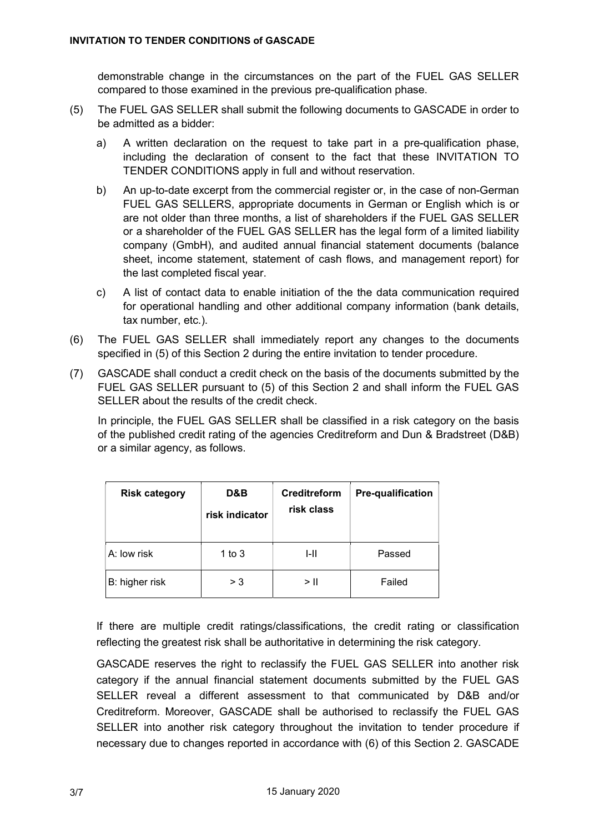demonstrable change in the circumstances on the part of the FUEL GAS SELLER compared to those examined in the previous pre-qualification phase.

- (5) The FUEL GAS SELLER shall submit the following documents to GASCADE in order to be admitted as a bidder:
	- a) A written declaration on the request to take part in a pre-qualification phase, including the declaration of consent to the fact that these INVITATION TO TENDER CONDITIONS apply in full and without reservation.
	- b) An up-to-date excerpt from the commercial register or, in the case of non-German FUEL GAS SELLERS, appropriate documents in German or English which is or are not older than three months, a list of shareholders if the FUEL GAS SELLER or a shareholder of the FUEL GAS SELLER has the legal form of a limited liability company (GmbH), and audited annual financial statement documents (balance sheet, income statement, statement of cash flows, and management report) for the last completed fiscal year.
	- c) A list of contact data to enable initiation of the the data communication required for operational handling and other additional company information (bank details, tax number, etc.).
- (6) The FUEL GAS SELLER shall immediately report any changes to the documents specified in (5) of this Section 2 during the entire invitation to tender procedure.
- (7) GASCADE shall conduct a credit check on the basis of the documents submitted by the FUEL GAS SELLER pursuant to (5) of this Section 2 and shall inform the FUEL GAS SELLER about the results of the credit check.

In principle, the FUEL GAS SELLER shall be classified in a risk category on the basis of the published credit rating of the agencies Creditreform and Dun & Bradstreet (D&B) or a similar agency, as follows.

| <b>Risk category</b> | D&B<br>risk indicator | Creditreform<br>risk class | <b>Pre-qualification</b> |
|----------------------|-----------------------|----------------------------|--------------------------|
| A: low risk          | 1 to $3$              | I-II                       | Passed                   |
| B: higher risk       | > 3                   | > II                       | Failed                   |

If there are multiple credit ratings/classifications, the credit rating or classification reflecting the greatest risk shall be authoritative in determining the risk category.

GASCADE reserves the right to reclassify the FUEL GAS SELLER into another risk category if the annual financial statement documents submitted by the FUEL GAS SELLER reveal a different assessment to that communicated by D&B and/or Creditreform. Moreover, GASCADE shall be authorised to reclassify the FUEL GAS SELLER into another risk category throughout the invitation to tender procedure if necessary due to changes reported in accordance with (6) of this Section 2. GASCADE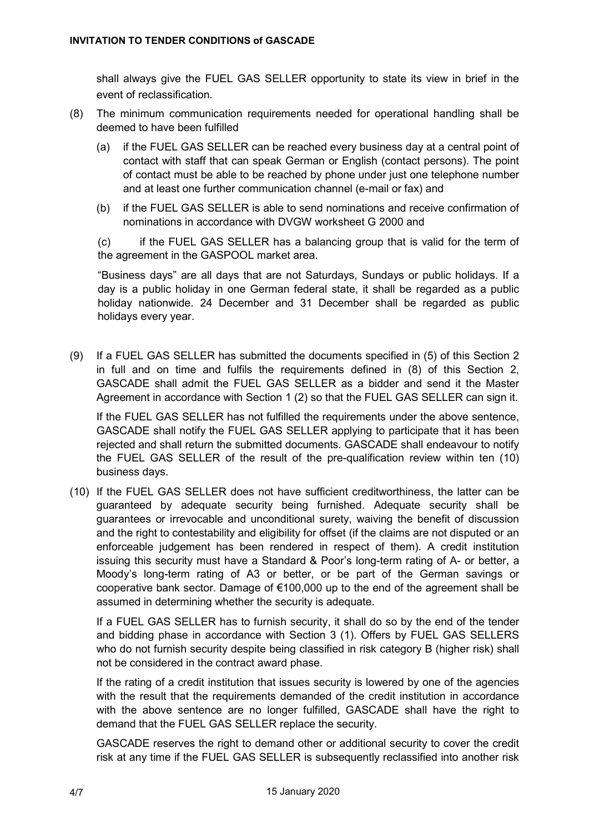shall always give the FUEL GAS SELLER opportunity to state its view in brief in the event of reclassification.

- (8) The minimum communication requirements needed for operational handling shall be deemed to have been fulfilled
	- (a) if the FUEL GAS SELLER can be reached every business day at a central point of contact with staff that can speak German or English (contact persons). The point of contact must be able to be reached by phone under just one telephone number and at least one further communication channel (e-mail or fax) and
	- (b) if the FUEL GAS SELLER is able to send nominations and receive confirmation of nominations in accordance with DVGW worksheet G 2000 and

(c) if the FUEL GAS SELLER has a balancing group that is valid for the term of the agreement in the GASPOOL market area.

"Business days" are all days that are not Saturdays, Sundays or public holidays. If a day is a public holiday in one German federal state, it shall be regarded as a public holiday nationwide. 24 December and 31 December shall be regarded as public holidays every year.

(9) If a FUEL GAS SELLER has submitted the documents specified in (5) of this Section 2 in full and on time and fulfils the requirements defined in (8) of this Section 2, GASCADE shall admit the FUEL GAS SELLER as a bidder and send it the Master Agreement in accordance with Section 1 (2) so that the FUEL GAS SELLER can sign it.

 If the FUEL GAS SELLER has not fulfilled the requirements under the above sentence, GASCADE shall notify the FUEL GAS SELLER applying to participate that it has been rejected and shall return the submitted documents. GASCADE shall endeavour to notify the FUEL GAS SELLER of the result of the pre-qualification review within ten (10) business days.

(10) If the FUEL GAS SELLER does not have sufficient creditworthiness, the latter can be guaranteed by adequate security being furnished. Adequate security shall be guarantees or irrevocable and unconditional surety, waiving the benefit of discussion and the right to contestability and eligibility for offset (if the claims are not disputed or an enforceable judgement has been rendered in respect of them). A credit institution issuing this security must have a Standard & Poor's long-term rating of A- or better, a Moody's long-term rating of A3 or better, or be part of the German savings or cooperative bank sector. Damage of €100,000 up to the end of the agreement shall be assumed in determining whether the security is adequate.

 If a FUEL GAS SELLER has to furnish security, it shall do so by the end of the tender and bidding phase in accordance with Section 3 (1). Offers by FUEL GAS SELLERS who do not furnish security despite being classified in risk category B (higher risk) shall not be considered in the contract award phase.

 If the rating of a credit institution that issues security is lowered by one of the agencies with the result that the requirements demanded of the credit institution in accordance with the above sentence are no longer fulfilled, GASCADE shall have the right to demand that the FUEL GAS SELLER replace the security.

 GASCADE reserves the right to demand other or additional security to cover the credit risk at any time if the FUEL GAS SELLER is subsequently reclassified into another risk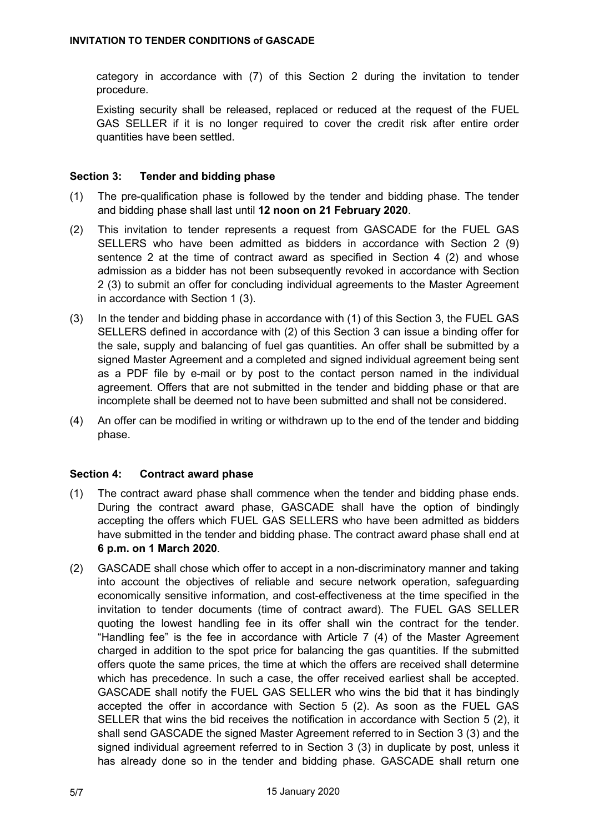category in accordance with (7) of this Section 2 during the invitation to tender procedure.

 Existing security shall be released, replaced or reduced at the request of the FUEL GAS SELLER if it is no longer required to cover the credit risk after entire order quantities have been settled.

## Section 3: Tender and bidding phase

- (1) The pre-qualification phase is followed by the tender and bidding phase. The tender and bidding phase shall last until 12 noon on 21 February 2020.
- (2) This invitation to tender represents a request from GASCADE for the FUEL GAS SELLERS who have been admitted as bidders in accordance with Section 2 (9) sentence 2 at the time of contract award as specified in Section 4 (2) and whose admission as a bidder has not been subsequently revoked in accordance with Section 2 (3) to submit an offer for concluding individual agreements to the Master Agreement in accordance with Section 1 (3).
- (3) In the tender and bidding phase in accordance with (1) of this Section 3, the FUEL GAS SELLERS defined in accordance with (2) of this Section 3 can issue a binding offer for the sale, supply and balancing of fuel gas quantities. An offer shall be submitted by a signed Master Agreement and a completed and signed individual agreement being sent as a PDF file by e-mail or by post to the contact person named in the individual agreement. Offers that are not submitted in the tender and bidding phase or that are incomplete shall be deemed not to have been submitted and shall not be considered.
- (4) An offer can be modified in writing or withdrawn up to the end of the tender and bidding phase.

#### Section 4: Contract award phase

- (1) The contract award phase shall commence when the tender and bidding phase ends. During the contract award phase, GASCADE shall have the option of bindingly accepting the offers which FUEL GAS SELLERS who have been admitted as bidders have submitted in the tender and bidding phase. The contract award phase shall end at 6 p.m. on 1 March 2020.
- (2) GASCADE shall chose which offer to accept in a non-discriminatory manner and taking into account the objectives of reliable and secure network operation, safeguarding economically sensitive information, and cost-effectiveness at the time specified in the invitation to tender documents (time of contract award). The FUEL GAS SELLER quoting the lowest handling fee in its offer shall win the contract for the tender. "Handling fee" is the fee in accordance with Article 7 (4) of the Master Agreement charged in addition to the spot price for balancing the gas quantities. If the submitted offers quote the same prices, the time at which the offers are received shall determine which has precedence. In such a case, the offer received earliest shall be accepted. GASCADE shall notify the FUEL GAS SELLER who wins the bid that it has bindingly accepted the offer in accordance with Section 5 (2). As soon as the FUEL GAS SELLER that wins the bid receives the notification in accordance with Section 5 (2), it shall send GASCADE the signed Master Agreement referred to in Section 3 (3) and the signed individual agreement referred to in Section 3 (3) in duplicate by post, unless it has already done so in the tender and bidding phase. GASCADE shall return one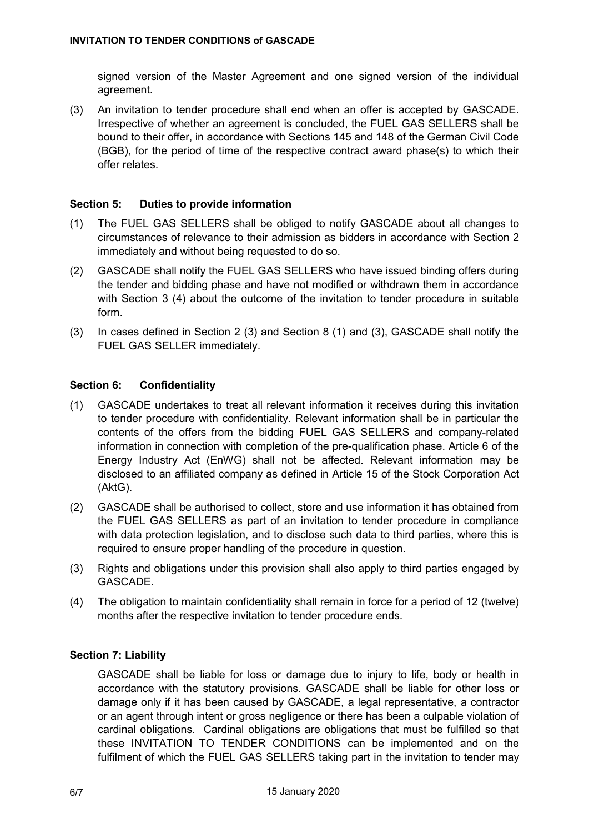signed version of the Master Agreement and one signed version of the individual agreement.

(3) An invitation to tender procedure shall end when an offer is accepted by GASCADE. Irrespective of whether an agreement is concluded, the FUEL GAS SELLERS shall be bound to their offer, in accordance with Sections 145 and 148 of the German Civil Code (BGB), for the period of time of the respective contract award phase(s) to which their offer relates.

## Section 5: Duties to provide information

- (1) The FUEL GAS SELLERS shall be obliged to notify GASCADE about all changes to circumstances of relevance to their admission as bidders in accordance with Section 2 immediately and without being requested to do so.
- (2) GASCADE shall notify the FUEL GAS SELLERS who have issued binding offers during the tender and bidding phase and have not modified or withdrawn them in accordance with Section 3 (4) about the outcome of the invitation to tender procedure in suitable form.
- (3) In cases defined in Section 2 (3) and Section 8 (1) and (3), GASCADE shall notify the FUEL GAS SELLER immediately.

## Section 6: Confidentiality

- (1) GASCADE undertakes to treat all relevant information it receives during this invitation to tender procedure with confidentiality. Relevant information shall be in particular the contents of the offers from the bidding FUEL GAS SELLERS and company-related information in connection with completion of the pre-qualification phase. Article 6 of the Energy Industry Act (EnWG) shall not be affected. Relevant information may be disclosed to an affiliated company as defined in Article 15 of the Stock Corporation Act (AktG).
- (2) GASCADE shall be authorised to collect, store and use information it has obtained from the FUEL GAS SELLERS as part of an invitation to tender procedure in compliance with data protection legislation, and to disclose such data to third parties, where this is required to ensure proper handling of the procedure in question.
- (3) Rights and obligations under this provision shall also apply to third parties engaged by GASCADE.
- (4) The obligation to maintain confidentiality shall remain in force for a period of 12 (twelve) months after the respective invitation to tender procedure ends.

#### Section 7: Liability

GASCADE shall be liable for loss or damage due to injury to life, body or health in accordance with the statutory provisions. GASCADE shall be liable for other loss or damage only if it has been caused by GASCADE, a legal representative, a contractor or an agent through intent or gross negligence or there has been a culpable violation of cardinal obligations. Cardinal obligations are obligations that must be fulfilled so that these INVITATION TO TENDER CONDITIONS can be implemented and on the fulfilment of which the FUEL GAS SELLERS taking part in the invitation to tender may